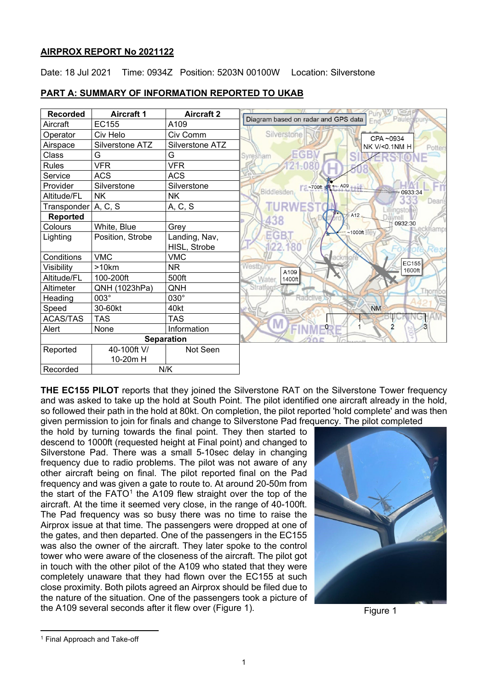## **AIRPROX REPORT No 2021122**

Date: 18 Jul 2021 Time: 0934Z Position: 5203N 00100W Location: Silverstone

| <b>Recorded</b>   | <b>Aircraft 1</b> | <b>Aircraft 2</b> | Diagram based on radar and GPS data |
|-------------------|-------------------|-------------------|-------------------------------------|
| Aircraft          | EC155             | A109              | Paulerspury<br>Fnd                  |
| Operator          | Civ Helo          | Civ Comm          | Silverstone<br>CPA~0934             |
| Airspace          | Silverstone ATZ   | Silverstone ATZ   | NK V/<0.1NM H<br>Potters            |
| Class             | G                 | G                 | GB<br>Syresham                      |
| <b>Rules</b>      | <b>VFR</b>        | <b>VFR</b>        |                                     |
| Service           | <b>ACS</b>        | <b>ACS</b>        |                                     |
| Provider          | Silverstone       | Silverstone       | ~700ft x - A09                      |
| Altitude/FL       | <b>NK</b>         | <b>NK</b>         | Biddlesden<br>-0933:34<br>Dean's    |
| Transponder       | A, C, S           | A, C, S           | <b>ullingstone</b>                  |
| <b>Reported</b>   |                   |                   | A12<br>438                          |
| Colours           | White, Blue       | Grey              | 0932:30<br>hamps<br>$~1000$ ft      |
| Lighting          | Position, Strobe  | Landing, Nav,     | EGB.                                |
|                   |                   | HISL, Strobe      | 122.180                             |
| Conditions        | <b>VMC</b>        | <b>VMC</b>        | аскто                               |
| Visibility        | >10km             | <b>NR</b>         | EC155<br>Westbury<br>1600ft<br>A109 |
| Altitude/FL       | 100-200ft         | 500ft             | Water<br>1400ft                     |
| Altimeter         | QNH (1023hPa)     | QNH               | <b>Stratford:</b><br>I.hornit       |
| Heading           | 003°              | 030°              | Radclive                            |
| Speed             | 30-60kt           | 40kt              | <b>NM</b>                           |
| <b>ACAS/TAS</b>   | <b>TAS</b>        | <b>TAS</b>        | Μ                                   |
| Alert             | None              | Information       | $\overline{\phantom{0}}$            |
| <b>Separation</b> |                   |                   |                                     |
| Reported          | 40-100ft V/       | Not Seen          |                                     |
|                   | 10-20m H          |                   |                                     |
| Recorded          | N/K               |                   |                                     |

# **PART A: SUMMARY OF INFORMATION REPORTED TO UKAB**

**THE EC155 PILOT** reports that they joined the Silverstone RAT on the Silverstone Tower frequency and was asked to take up the hold at South Point. The pilot identified one aircraft already in the hold, so followed their path in the hold at 80kt. On completion, the pilot reported 'hold complete' and was then given permission to join for finals and change to Silverstone Pad frequency. The pilot completed

the hold by turning towards the final point. They then started to descend to 1000ft (requested height at Final point) and changed to Silverstone Pad. There was a small 5-10sec delay in changing frequency due to radio problems. The pilot was not aware of any other aircraft being on final. The pilot reported final on the Pad frequency and was given a gate to route to. At around 20-50m from the start of the  $FATO<sup>1</sup>$  $FATO<sup>1</sup>$  $FATO<sup>1</sup>$  the A109 flew straight over the top of the aircraft. At the time it seemed very close, in the range of 40-100ft. The Pad frequency was so busy there was no time to raise the Airprox issue at that time. The passengers were dropped at one of the gates, and then departed. One of the passengers in the EC155 was also the owner of the aircraft. They later spoke to the control tower who were aware of the closeness of the aircraft. The pilot got in touch with the other pilot of the A109 who stated that they were completely unaware that they had flown over the EC155 at such close proximity. Both pilots agreed an Airprox should be filed due to the nature of the situation. One of the passengers took a picture of the A109 several seconds after it flew over (Figure 1).



Figure 1

<span id="page-0-0"></span><sup>1</sup> Final Approach and Take-off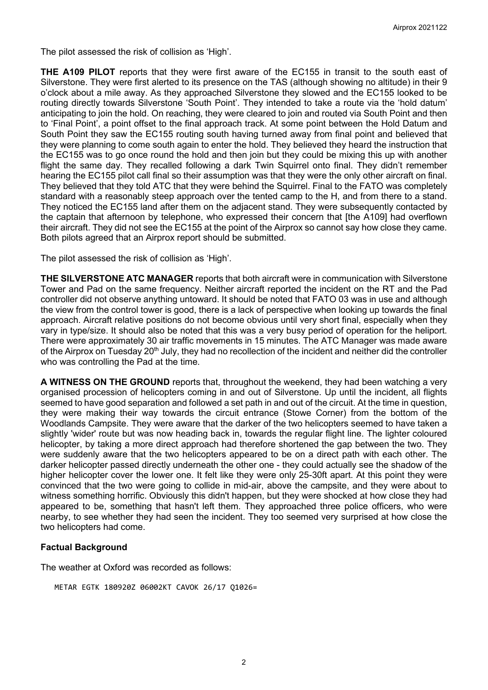The pilot assessed the risk of collision as 'High'.

**THE A109 PILOT** reports that they were first aware of the EC155 in transit to the south east of Silverstone. They were first alerted to its presence on the TAS (although showing no altitude) in their 9 o'clock about a mile away. As they approached Silverstone they slowed and the EC155 looked to be routing directly towards Silverstone 'South Point'. They intended to take a route via the 'hold datum' anticipating to join the hold. On reaching, they were cleared to join and routed via South Point and then to 'Final Point', a point offset to the final approach track. At some point between the Hold Datum and South Point they saw the EC155 routing south having turned away from final point and believed that they were planning to come south again to enter the hold. They believed they heard the instruction that the EC155 was to go once round the hold and then join but they could be mixing this up with another flight the same day. They recalled following a dark Twin Squirrel onto final. They didn't remember hearing the EC155 pilot call final so their assumption was that they were the only other aircraft on final. They believed that they told ATC that they were behind the Squirrel. Final to the FATO was completely standard with a reasonably steep approach over the tented camp to the H, and from there to a stand. They noticed the EC155 land after them on the adjacent stand. They were subsequently contacted by the captain that afternoon by telephone, who expressed their concern that [the A109] had overflown their aircraft. They did not see the EC155 at the point of the Airprox so cannot say how close they came. Both pilots agreed that an Airprox report should be submitted.

The pilot assessed the risk of collision as 'High'.

**THE SILVERSTONE ATC MANAGER** reports that both aircraft were in communication with Silverstone Tower and Pad on the same frequency. Neither aircraft reported the incident on the RT and the Pad controller did not observe anything untoward. It should be noted that FATO 03 was in use and although the view from the control tower is good, there is a lack of perspective when looking up towards the final approach. Aircraft relative positions do not become obvious until very short final, especially when they vary in type/size. It should also be noted that this was a very busy period of operation for the heliport. There were approximately 30 air traffic movements in 15 minutes. The ATC Manager was made aware of the Airprox on Tuesday 20<sup>th</sup> July, they had no recollection of the incident and neither did the controller who was controlling the Pad at the time.

**A WITNESS ON THE GROUND** reports that, throughout the weekend, they had been watching a very organised procession of helicopters coming in and out of Silverstone. Up until the incident, all flights seemed to have good separation and followed a set path in and out of the circuit. At the time in question, they were making their way towards the circuit entrance (Stowe Corner) from the bottom of the Woodlands Campsite. They were aware that the darker of the two helicopters seemed to have taken a slightly 'wider' route but was now heading back in, towards the regular flight line. The lighter coloured helicopter, by taking a more direct approach had therefore shortened the gap between the two. They were suddenly aware that the two helicopters appeared to be on a direct path with each other. The darker helicopter passed directly underneath the other one - they could actually see the shadow of the higher helicopter cover the lower one. It felt like they were only 25-30ft apart. At this point they were convinced that the two were going to collide in mid-air, above the campsite, and they were about to witness something horrific. Obviously this didn't happen, but they were shocked at how close they had appeared to be, something that hasn't left them. They approached three police officers, who were nearby, to see whether they had seen the incident. They too seemed very surprised at how close the two helicopters had come.

## **Factual Background**

The weather at Oxford was recorded as follows:

```
METAR EGTK 180920Z 06002KT CAVOK 26/17 Q1026=
```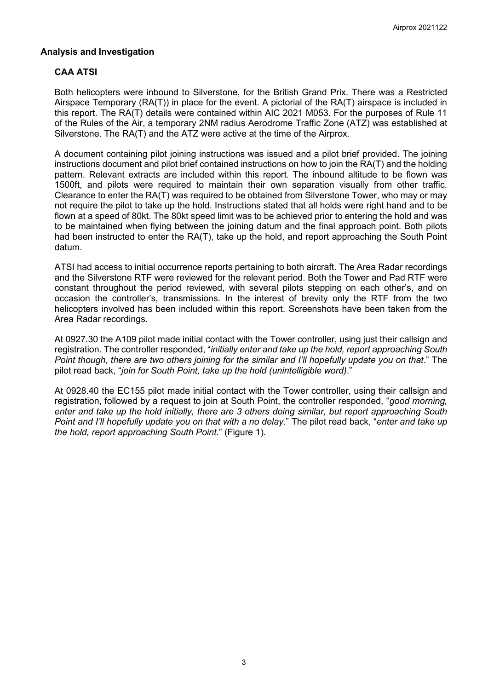## **Analysis and Investigation**

# **CAA ATSI**

Both helicopters were inbound to Silverstone, for the British Grand Prix. There was a Restricted Airspace Temporary (RA(T)) in place for the event. A pictorial of the RA(T) airspace is included in this report. The RA(T) details were contained within AIC 2021 M053. For the purposes of Rule 11 of the Rules of the Air, a temporary 2NM radius Aerodrome Traffic Zone (ATZ) was established at Silverstone. The RA(T) and the ATZ were active at the time of the Airprox.

A document containing pilot joining instructions was issued and a pilot brief provided. The joining instructions document and pilot brief contained instructions on how to join the RA(T) and the holding pattern. Relevant extracts are included within this report. The inbound altitude to be flown was 1500ft, and pilots were required to maintain their own separation visually from other traffic. Clearance to enter the RA(T) was required to be obtained from Silverstone Tower, who may or may not require the pilot to take up the hold. Instructions stated that all holds were right hand and to be flown at a speed of 80kt. The 80kt speed limit was to be achieved prior to entering the hold and was to be maintained when flying between the joining datum and the final approach point. Both pilots had been instructed to enter the RA(T), take up the hold, and report approaching the South Point datum.

ATSI had access to initial occurrence reports pertaining to both aircraft. The Area Radar recordings and the Silverstone RTF were reviewed for the relevant period. Both the Tower and Pad RTF were constant throughout the period reviewed, with several pilots stepping on each other's, and on occasion the controller's, transmissions. In the interest of brevity only the RTF from the two helicopters involved has been included within this report. Screenshots have been taken from the Area Radar recordings.

At 0927.30 the A109 pilot made initial contact with the Tower controller, using just their callsign and registration. The controller responded, "*initially enter and take up the hold, report approaching South Point though, there are two others joining for the similar and I'll hopefully update you on that*." The pilot read back, "*join for South Point, take up the hold (unintelligible word)*."

At 0928.40 the EC155 pilot made initial contact with the Tower controller, using their callsign and registration, followed by a request to join at South Point, the controller responded, "*good morning, enter and take up the hold initially, there are 3 others doing similar, but report approaching South Point and I'll hopefully update you on that with a no delay*." The pilot read back, "*enter and take up the hold, report approaching South Point.*" (Figure 1).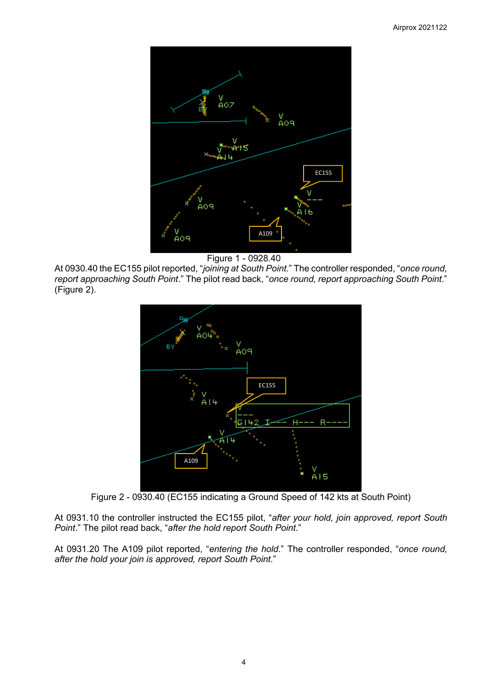

Figure 1 - 0928*.*40

At 0930.40 the EC155 pilot reported, "*joining at South Point*." The controller responded, "*once round, report approaching South Point*." The pilot read back, "*once round, report approaching South Point*." (Figure 2).



Figure 2 - 0930.40 (EC155 indicating a Ground Speed of 142 kts at South Point)

At 0931.10 the controller instructed the EC155 pilot, "*after your hold, join approved, report South Point*." The pilot read back, "*after the hold report South Point*."

At 0931.20 The A109 pilot reported, "*entering the hold*." The controller responded, "*once round, after the hold your join is approved, report South Point.*"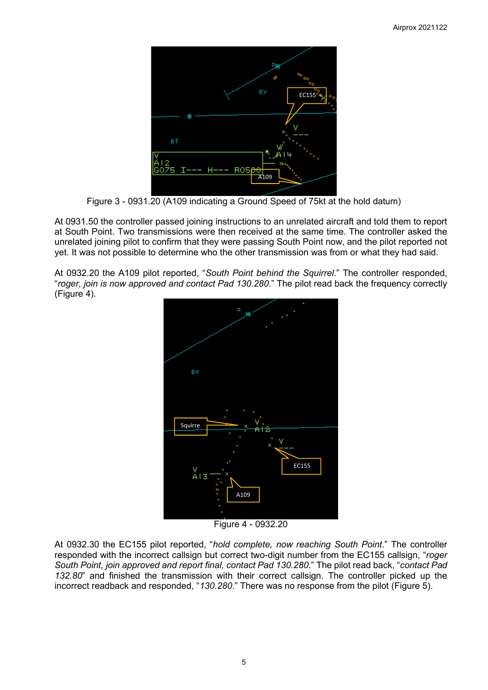

Figure 3 - 0931.20 (A109 indicating a Ground Speed of 75kt at the hold datum)

At 0931.50 the controller passed joining instructions to an unrelated aircraft and told them to report at South Point. Two transmissions were then received at the same time. The controller asked the unrelated joining pilot to confirm that they were passing South Point now, and the pilot reported not yet. It was not possible to determine who the other transmission was from or what they had said.

At 0932.20 the A109 pilot reported, "*South Point behind the Squirrel*." The controller responded, "*roger, join is now approved and contact Pad 130.280*." The pilot read back the frequency correctly (Figure 4).



Figure 4 - 0932.20

At 0932.30 the EC155 pilot reported, "*hold complete, now reaching South Point*." The controller responded with the incorrect callsign but correct two-digit number from the EC155 callsign, "*roger South Point, join approved and report final, contact Pad 130.280*." The pilot read back, "*contact Pad 132.80*" and finished the transmission with their correct callsign. The controller picked up the incorrect readback and responded, "*130.280*." There was no response from the pilot (Figure 5).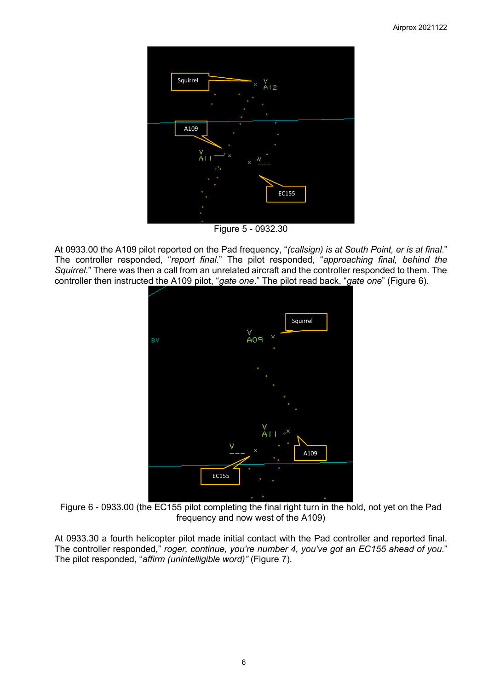

Figure 5 - 0932.30

At 0933.00 the A109 pilot reported on the Pad frequency, "*(callsign) is at South Point, er is at final*." The controller responded, "*report final*." The pilot responded, "*approaching final, behind the Squirrel*." There was then a call from an unrelated aircraft and the controller responded to them. The controller then instructed the A109 pilot, "*gate one*." The pilot read back, "*gate one*" (Figure 6).



Figure 6 - 0933.00 (the EC155 pilot completing the final right turn in the hold, not yet on the Pad frequency and now west of the A109)

At 0933.30 a fourth helicopter pilot made initial contact with the Pad controller and reported final. The controller responded," *roger, continue, you're number 4, you've got an EC155 ahead of you*." The pilot responded, "*affirm (unintelligible word)"* (Figure 7).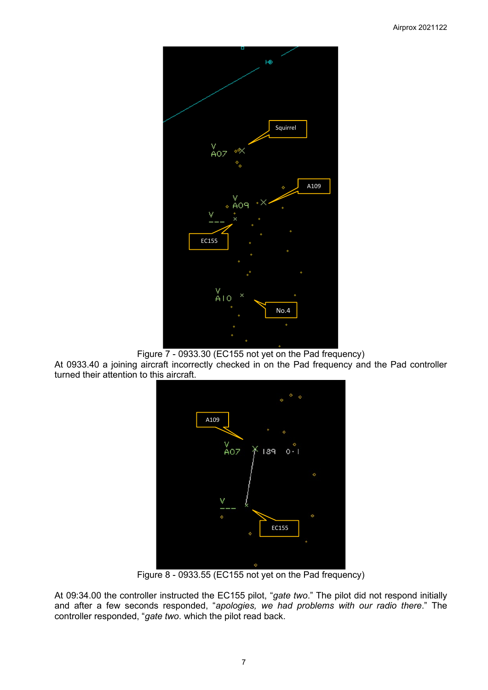

Figure 7 - 0933.30 (EC155 not yet on the Pad frequency)

At 0933.40 a joining aircraft incorrectly checked in on the Pad frequency and the Pad controller turned their attention to this aircraft.



Figure 8 - 0933.55 (EC155 not yet on the Pad frequency)

At 09:34.00 the controller instructed the EC155 pilot, "*gate two*." The pilot did not respond initially and after a few seconds responded, "*apologies, we had problems with our radio there*." The controller responded, "*gate two*. which the pilot read back.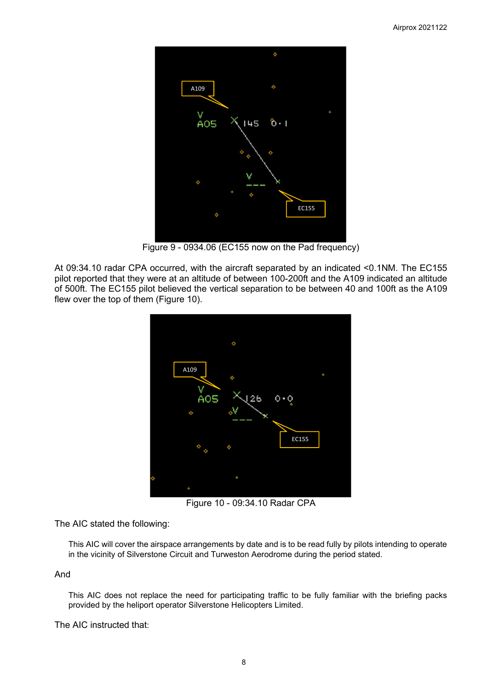

Figure 9 - 0934.06 (EC155 now on the Pad frequency)

At 09:34.10 radar CPA occurred, with the aircraft separated by an indicated <0.1NM. The EC155 pilot reported that they were at an altitude of between 100-200ft and the A109 indicated an altitude of 500ft. The EC155 pilot believed the vertical separation to be between 40 and 100ft as the A109 flew over the top of them (Figure 10).



Figure 10 - 09:34.10 Radar CPA

The AIC stated the following:

This AIC will cover the airspace arrangements by date and is to be read fully by pilots intending to operate in the vicinity of Silverstone Circuit and Turweston Aerodrome during the period stated.

And

This AIC does not replace the need for participating traffic to be fully familiar with the briefing packs provided by the heliport operator Silverstone Helicopters Limited.

The AIC instructed that: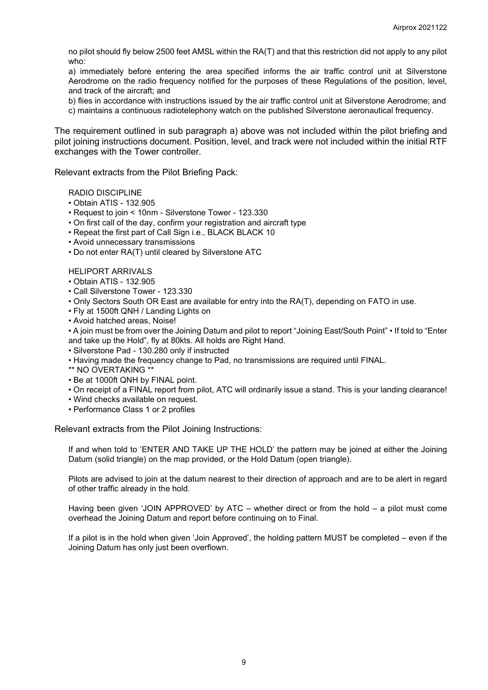no pilot should fly below 2500 feet AMSL within the RA(T) and that this restriction did not apply to any pilot who:

a) immediately before entering the area specified informs the air traffic control unit at Silverstone Aerodrome on the radio frequency notified for the purposes of these Regulations of the position, level, and track of the aircraft; and

b) flies in accordance with instructions issued by the air traffic control unit at Silverstone Aerodrome; and

c) maintains a continuous radiotelephony watch on the published Silverstone aeronautical frequency.

The requirement outlined in sub paragraph a) above was not included within the pilot briefing and pilot joining instructions document. Position, level, and track were not included within the initial RTF exchanges with the Tower controller.

Relevant extracts from the Pilot Briefing Pack:

#### RADIO DISCIPLINE

- Obtain ATIS 132.905
- Request to join < 10nm Silverstone Tower 123.330
- On first call of the day, confirm your registration and aircraft type
- Repeat the first part of Call Sign i.e., BLACK BLACK 10
- Avoid unnecessary transmissions
- Do not enter RA(T) until cleared by Silverstone ATC

#### HELIPORT ARRIVALS

- Obtain ATIS 132.905
- Call Silverstone Tower 123.330
- Only Sectors South OR East are available for entry into the RA(T), depending on FATO in use.
- Fly at 1500ft QNH / Landing Lights on
- Avoid hatched areas, Noise!

• A join must be from over the Joining Datum and pilot to report "Joining East/South Point" • If told to "Enter and take up the Hold", fly at 80kts. All holds are Right Hand.

- Silverstone Pad 130.280 only if instructed
- Having made the frequency change to Pad, no transmissions are required until FINAL.
- \*\* NO OVERTAKING \*\*
- Be at 1000ft QNH by FINAL point.
- On receipt of a FINAL report from pilot, ATC will ordinarily issue a stand. This is your landing clearance!
- Wind checks available on request.
- Performance Class 1 or 2 profiles

Relevant extracts from the Pilot Joining Instructions:

If and when told to 'ENTER AND TAKE UP THE HOLD' the pattern may be joined at either the Joining Datum (solid triangle) on the map provided, or the Hold Datum (open triangle).

Pilots are advised to join at the datum nearest to their direction of approach and are to be alert in regard of other traffic already in the hold.

Having been given 'JOIN APPROVED' by ATC – whether direct or from the hold – a pilot must come overhead the Joining Datum and report before continuing on to Final.

If a pilot is in the hold when given 'Join Approved', the holding pattern MUST be completed – even if the Joining Datum has only just been overflown.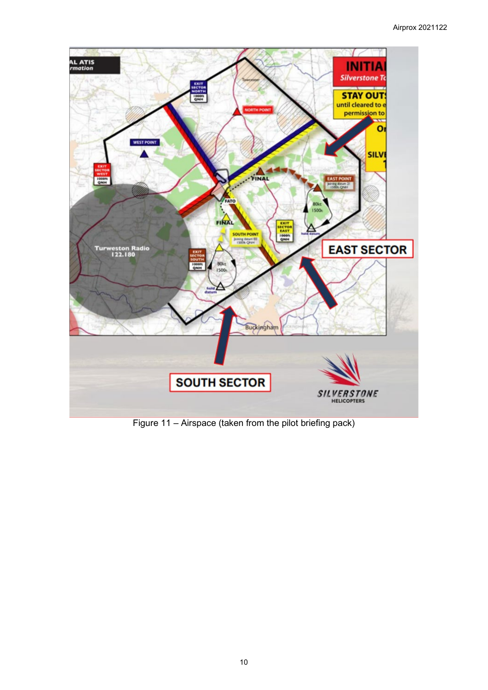

Figure 11 – Airspace (taken from the pilot briefing pack)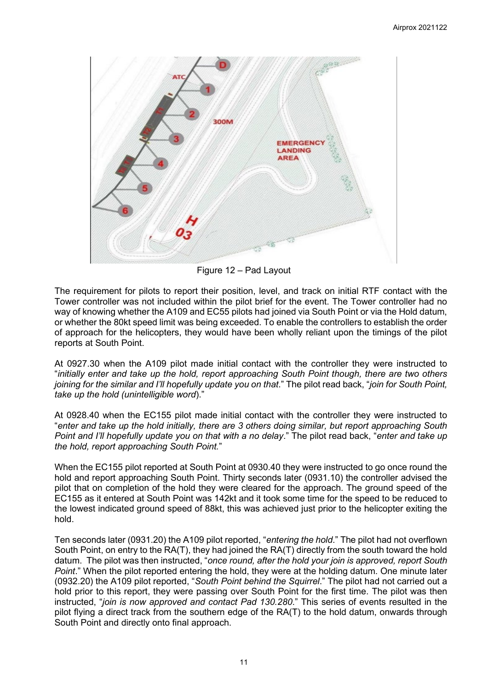

Figure 12 – Pad Layout

The requirement for pilots to report their position, level, and track on initial RTF contact with the Tower controller was not included within the pilot brief for the event. The Tower controller had no way of knowing whether the A109 and EC55 pilots had joined via South Point or via the Hold datum, or whether the 80kt speed limit was being exceeded. To enable the controllers to establish the order of approach for the helicopters, they would have been wholly reliant upon the timings of the pilot reports at South Point.

At 0927.30 when the A109 pilot made initial contact with the controller they were instructed to "*initially enter and take up the hold, report approaching South Point though, there are two others joining for the similar and I'll hopefully update you on that*." The pilot read back, "*join for South Point, take up the hold (unintelligible word*)."

At 0928.40 when the EC155 pilot made initial contact with the controller they were instructed to "*enter and take up the hold initially, there are 3 others doing similar, but report approaching South Point and I'll hopefully update you on that with a no delay*." The pilot read back, "*enter and take up the hold, report approaching South Point.*"

When the EC155 pilot reported at South Point at 0930.40 they were instructed to go once round the hold and report approaching South Point. Thirty seconds later (0931.10) the controller advised the pilot that on completion of the hold they were cleared for the approach. The ground speed of the EC155 as it entered at South Point was 142kt and it took some time for the speed to be reduced to the lowest indicated ground speed of 88kt, this was achieved just prior to the helicopter exiting the hold.

Ten seconds later (0931.20) the A109 pilot reported, "*entering the hold*." The pilot had not overflown South Point, on entry to the RA(T), they had joined the RA(T) directly from the south toward the hold datum. The pilot was then instructed, "*once round, after the hold your join is approved, report South Point*." When the pilot reported entering the hold, they were at the holding datum. One minute later (0932.20) the A109 pilot reported, "*South Point behind the Squirrel*." The pilot had not carried out a hold prior to this report, they were passing over South Point for the first time. The pilot was then instructed, "*join is now approved and contact Pad 130.280*." This series of events resulted in the pilot flying a direct track from the southern edge of the RA(T) to the hold datum, onwards through South Point and directly onto final approach.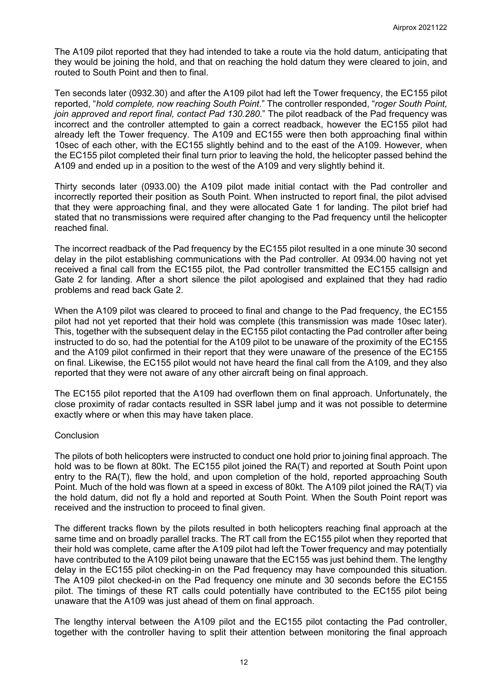The A109 pilot reported that they had intended to take a route via the hold datum, anticipating that they would be joining the hold, and that on reaching the hold datum they were cleared to join, and routed to South Point and then to final.

Ten seconds later (0932.30) and after the A109 pilot had left the Tower frequency, the EC155 pilot reported, "*hold complete, now reaching South Point*." The controller responded, "*roger South Point, join approved and report final, contact Pad 130.280*." The pilot readback of the Pad frequency was incorrect and the controller attempted to gain a correct readback, however the EC155 pilot had already left the Tower frequency. The A109 and EC155 were then both approaching final within 10sec of each other, with the EC155 slightly behind and to the east of the A109. However, when the EC155 pilot completed their final turn prior to leaving the hold, the helicopter passed behind the A109 and ended up in a position to the west of the A109 and very slightly behind it.

Thirty seconds later (0933.00) the A109 pilot made initial contact with the Pad controller and incorrectly reported their position as South Point. When instructed to report final, the pilot advised that they were approaching final, and they were allocated Gate 1 for landing. The pilot brief had stated that no transmissions were required after changing to the Pad frequency until the helicopter reached final.

The incorrect readback of the Pad frequency by the EC155 pilot resulted in a one minute 30 second delay in the pilot establishing communications with the Pad controller. At 0934.00 having not yet received a final call from the EC155 pilot, the Pad controller transmitted the EC155 callsign and Gate 2 for landing. After a short silence the pilot apologised and explained that they had radio problems and read back Gate 2.

When the A109 pilot was cleared to proceed to final and change to the Pad frequency, the EC155 pilot had not yet reported that their hold was complete (this transmission was made 10sec later). This, together with the subsequent delay in the EC155 pilot contacting the Pad controller after being instructed to do so, had the potential for the A109 pilot to be unaware of the proximity of the EC155 and the A109 pilot confirmed in their report that they were unaware of the presence of the EC155 on final. Likewise, the EC155 pilot would not have heard the final call from the A109, and they also reported that they were not aware of any other aircraft being on final approach.

The EC155 pilot reported that the A109 had overflown them on final approach. Unfortunately, the close proximity of radar contacts resulted in SSR label jump and it was not possible to determine exactly where or when this may have taken place.

#### **Conclusion**

The pilots of both helicopters were instructed to conduct one hold prior to joining final approach. The hold was to be flown at 80kt. The EC155 pilot joined the RA(T) and reported at South Point upon entry to the RA(T), flew the hold, and upon completion of the hold, reported approaching South Point. Much of the hold was flown at a speed in excess of 80kt. The A109 pilot joined the RA(T) via the hold datum, did not fly a hold and reported at South Point. When the South Point report was received and the instruction to proceed to final given.

The different tracks flown by the pilots resulted in both helicopters reaching final approach at the same time and on broadly parallel tracks. The RT call from the EC155 pilot when they reported that their hold was complete, came after the A109 pilot had left the Tower frequency and may potentially have contributed to the A109 pilot being unaware that the EC155 was just behind them. The lengthy delay in the EC155 pilot checking-in on the Pad frequency may have compounded this situation. The A109 pilot checked-in on the Pad frequency one minute and 30 seconds before the EC155 pilot. The timings of these RT calls could potentially have contributed to the EC155 pilot being unaware that the A109 was just ahead of them on final approach.

The lengthy interval between the A109 pilot and the EC155 pilot contacting the Pad controller, together with the controller having to split their attention between monitoring the final approach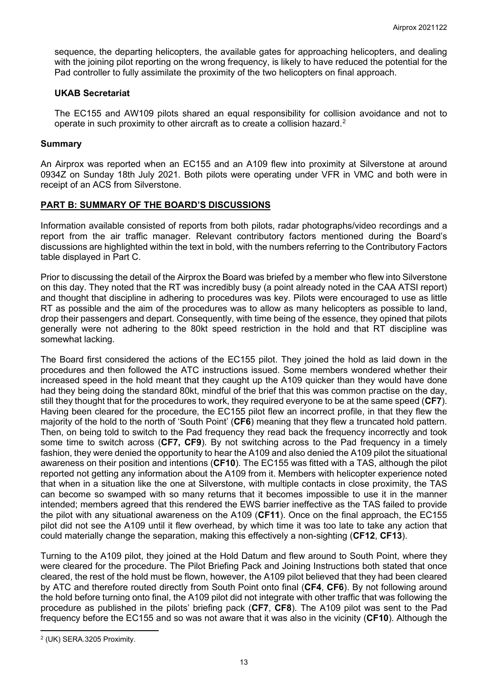sequence, the departing helicopters, the available gates for approaching helicopters, and dealing with the joining pilot reporting on the wrong frequency, is likely to have reduced the potential for the Pad controller to fully assimilate the proximity of the two helicopters on final approach.

#### **UKAB Secretariat**

The EC155 and AW109 pilots shared an equal responsibility for collision avoidance and not to operate in such proximity to other aircraft as to create a collision hazard.<sup>[2](#page-12-0)</sup>

#### **Summary**

An Airprox was reported when an EC155 and an A109 flew into proximity at Silverstone at around 0934Z on Sunday 18th July 2021. Both pilots were operating under VFR in VMC and both were in receipt of an ACS from Silverstone.

### **PART B: SUMMARY OF THE BOARD'S DISCUSSIONS**

Information available consisted of reports from both pilots, radar photographs/video recordings and a report from the air traffic manager. Relevant contributory factors mentioned during the Board's discussions are highlighted within the text in bold, with the numbers referring to the Contributory Factors table displayed in Part C.

Prior to discussing the detail of the Airprox the Board was briefed by a member who flew into Silverstone on this day. They noted that the RT was incredibly busy (a point already noted in the CAA ATSI report) and thought that discipline in adhering to procedures was key. Pilots were encouraged to use as little RT as possible and the aim of the procedures was to allow as many helicopters as possible to land, drop their passengers and depart. Consequently, with time being of the essence, they opined that pilots generally were not adhering to the 80kt speed restriction in the hold and that RT discipline was somewhat lacking.

The Board first considered the actions of the EC155 pilot. They joined the hold as laid down in the procedures and then followed the ATC instructions issued. Some members wondered whether their increased speed in the hold meant that they caught up the A109 quicker than they would have done had they being doing the standard 80kt, mindful of the brief that this was common practise on the day, still they thought that for the procedures to work, they required everyone to be at the same speed (**CF7**). Having been cleared for the procedure, the EC155 pilot flew an incorrect profile, in that they flew the majority of the hold to the north of 'South Point' (**CF6**) meaning that they flew a truncated hold pattern. Then, on being told to switch to the Pad frequency they read back the frequency incorrectly and took some time to switch across (**CF7, CF9**). By not switching across to the Pad frequency in a timely fashion, they were denied the opportunity to hear the A109 and also denied the A109 pilot the situational awareness on their position and intentions (**CF10**). The EC155 was fitted with a TAS, although the pilot reported not getting any information about the A109 from it. Members with helicopter experience noted that when in a situation like the one at Silverstone, with multiple contacts in close proximity, the TAS can become so swamped with so many returns that it becomes impossible to use it in the manner intended; members agreed that this rendered the EWS barrier ineffective as the TAS failed to provide the pilot with any situational awareness on the A109 (**CF11**). Once on the final approach, the EC155 pilot did not see the A109 until it flew overhead, by which time it was too late to take any action that could materially change the separation, making this effectively a non-sighting (**CF12**, **CF13**).

Turning to the A109 pilot, they joined at the Hold Datum and flew around to South Point, where they were cleared for the procedure. The Pilot Briefing Pack and Joining Instructions both stated that once cleared, the rest of the hold must be flown, however, the A109 pilot believed that they had been cleared by ATC and therefore routed directly from South Point onto final (**CF4**, **CF6**). By not following around the hold before turning onto final, the A109 pilot did not integrate with other traffic that was following the procedure as published in the pilots' briefing pack (**CF7**, **CF8**). The A109 pilot was sent to the Pad frequency before the EC155 and so was not aware that it was also in the vicinity (**CF10**). Although the

<span id="page-12-0"></span><sup>2</sup> (UK) SERA.3205 Proximity.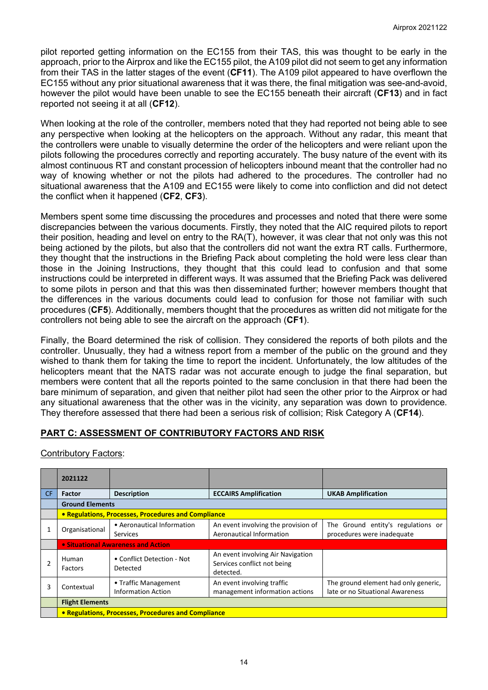pilot reported getting information on the EC155 from their TAS, this was thought to be early in the approach, prior to the Airprox and like the EC155 pilot, the A109 pilot did not seem to get any information from their TAS in the latter stages of the event (**CF11**). The A109 pilot appeared to have overflown the EC155 without any prior situational awareness that it was there, the final mitigation was see-and-avoid, however the pilot would have been unable to see the EC155 beneath their aircraft (**CF13**) and in fact reported not seeing it at all (**CF12**).

When looking at the role of the controller, members noted that they had reported not being able to see any perspective when looking at the helicopters on the approach. Without any radar, this meant that the controllers were unable to visually determine the order of the helicopters and were reliant upon the pilots following the procedures correctly and reporting accurately. The busy nature of the event with its almost continuous RT and constant procession of helicopters inbound meant that the controller had no way of knowing whether or not the pilots had adhered to the procedures. The controller had no situational awareness that the A109 and EC155 were likely to come into confliction and did not detect the conflict when it happened (**CF2**, **CF3**).

Members spent some time discussing the procedures and processes and noted that there were some discrepancies between the various documents. Firstly, they noted that the AIC required pilots to report their position, heading and level on entry to the RA(T), however, it was clear that not only was this not being actioned by the pilots, but also that the controllers did not want the extra RT calls. Furthermore, they thought that the instructions in the Briefing Pack about completing the hold were less clear than those in the Joining Instructions, they thought that this could lead to confusion and that some instructions could be interpreted in different ways. It was assumed that the Briefing Pack was delivered to some pilots in person and that this was then disseminated further; however members thought that the differences in the various documents could lead to confusion for those not familiar with such procedures (**CF5**). Additionally, members thought that the procedures as written did not mitigate for the controllers not being able to see the aircraft on the approach (**CF1**).

Finally, the Board determined the risk of collision. They considered the reports of both pilots and the controller. Unusually, they had a witness report from a member of the public on the ground and they wished to thank them for taking the time to report the incident. Unfortunately, the low altitudes of the helicopters meant that the NATS radar was not accurate enough to judge the final separation, but members were content that all the reports pointed to the same conclusion in that there had been the bare minimum of separation, and given that neither pilot had seen the other prior to the Airprox or had any situational awareness that the other was in the vicinity, any separation was down to providence. They therefore assessed that there had been a serious risk of collision; Risk Category A (**CF14**).

# **PART C: ASSESSMENT OF CONTRIBUTORY FACTORS AND RISK**

Contributory Factors:

|     | 2021122                                                         |                                        |                                                                               |                                                                          |  |  |  |  |
|-----|-----------------------------------------------------------------|----------------------------------------|-------------------------------------------------------------------------------|--------------------------------------------------------------------------|--|--|--|--|
| CF. | <b>Factor</b>                                                   | <b>Description</b>                     | <b>ECCAIRS Amplification</b><br><b>UKAB Amplification</b>                     |                                                                          |  |  |  |  |
|     |                                                                 | <b>Ground Elements</b>                 |                                                                               |                                                                          |  |  |  |  |
|     | • Regulations, Processes, Procedures and Compliance             |                                        |                                                                               |                                                                          |  |  |  |  |
|     | • Aeronautical Information<br>Organisational<br><b>Services</b> |                                        | An event involving the provision of<br>Aeronautical Information               | The Ground entity's regulations or<br>procedures were inadequate         |  |  |  |  |
|     |                                                                 | • Situational Awareness and Action     |                                                                               |                                                                          |  |  |  |  |
|     | Human<br>Factors                                                | • Conflict Detection - Not<br>Detected | An event involving Air Navigation<br>Services conflict not being<br>detected. |                                                                          |  |  |  |  |
| 3   | • Traffic Management<br>Contextual<br><b>Information Action</b> |                                        | An event involving traffic<br>management information actions                  | The ground element had only generic,<br>late or no Situational Awareness |  |  |  |  |
|     | <b>Flight Elements</b>                                          |                                        |                                                                               |                                                                          |  |  |  |  |
|     | • Regulations, Processes, Procedures and Compliance             |                                        |                                                                               |                                                                          |  |  |  |  |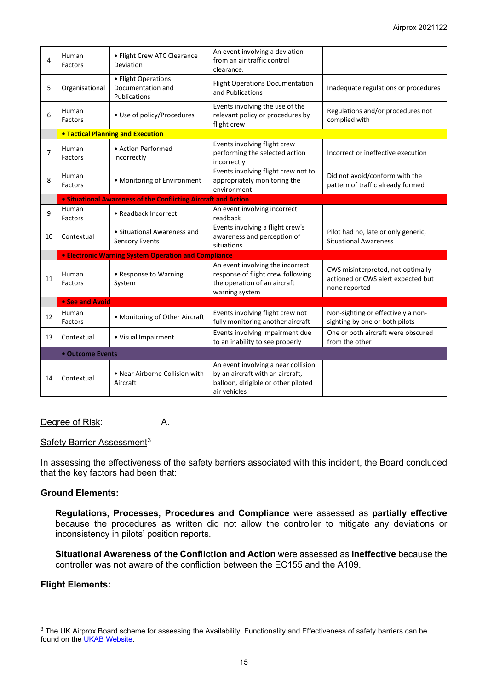| 4  | Human<br>Factors                                            | • Flight Crew ATC Clearance<br>Deviation                              | An event involving a deviation<br>from an air traffic control<br>clearance.                                                    |                                                                                          |  |  |
|----|-------------------------------------------------------------|-----------------------------------------------------------------------|--------------------------------------------------------------------------------------------------------------------------------|------------------------------------------------------------------------------------------|--|--|
| 5  | Organisational                                              | • Flight Operations<br>Documentation and<br><b>Publications</b>       | <b>Flight Operations Documentation</b><br>and Publications                                                                     | Inadequate regulations or procedures                                                     |  |  |
| 6  | Human<br>Factors                                            | • Use of policy/Procedures                                            | Events involving the use of the<br>relevant policy or procedures by<br>flight crew                                             | Regulations and/or procedures not<br>complied with                                       |  |  |
|    |                                                             | <b>. Tactical Planning and Execution</b>                              |                                                                                                                                |                                                                                          |  |  |
| 7  | Human<br>Factors                                            | • Action Performed<br>Incorrectly                                     | Events involving flight crew<br>performing the selected action<br>incorrectly                                                  | Incorrect or ineffective execution                                                       |  |  |
| 8  | Human<br>Factors                                            | • Monitoring of Environment                                           | Events involving flight crew not to<br>appropriately monitoring the<br>environment                                             | Did not avoid/conform with the<br>pattern of traffic already formed                      |  |  |
|    |                                                             | <b>.</b> Situational Awareness of the Conflicting Aircraft and Action |                                                                                                                                |                                                                                          |  |  |
| 9  | Human<br>Factors                                            | • Readback Incorrect                                                  | An event involving incorrect<br>readback                                                                                       |                                                                                          |  |  |
| 10 | Contextual                                                  | • Situational Awareness and<br><b>Sensory Events</b>                  | Events involving a flight crew's<br>awareness and perception of<br>situations                                                  | Pilot had no, late or only generic,<br><b>Situational Awareness</b>                      |  |  |
|    | <b>• Electronic Warning System Operation and Compliance</b> |                                                                       |                                                                                                                                |                                                                                          |  |  |
| 11 | Human<br>Factors                                            | • Response to Warning<br>System                                       | An event involving the incorrect<br>response of flight crew following<br>the operation of an aircraft<br>warning system        | CWS misinterpreted, not optimally<br>actioned or CWS alert expected but<br>none reported |  |  |
|    | • See and Avoid                                             |                                                                       |                                                                                                                                |                                                                                          |  |  |
| 12 | Human<br>Factors                                            | • Monitoring of Other Aircraft                                        | Events involving flight crew not<br>fully monitoring another aircraft                                                          | Non-sighting or effectively a non-<br>sighting by one or both pilots                     |  |  |
| 13 | Contextual                                                  | • Visual Impairment                                                   | Events involving impairment due<br>to an inability to see properly                                                             | One or both aircraft were obscured<br>from the other                                     |  |  |
|    | • Outcome Events                                            |                                                                       |                                                                                                                                |                                                                                          |  |  |
| 14 | Contextual                                                  | • Near Airborne Collision with<br>Aircraft                            | An event involving a near collision<br>by an aircraft with an aircraft,<br>balloon, dirigible or other piloted<br>air vehicles |                                                                                          |  |  |

### Degree of Risk: A.

### Safety Barrier Assessment<sup>[3](#page-14-0)</sup>

In assessing the effectiveness of the safety barriers associated with this incident, the Board concluded that the key factors had been that:

## **Ground Elements:**

**Regulations, Processes, Procedures and Compliance** were assessed as **partially effective** because the procedures as written did not allow the controller to mitigate any deviations or inconsistency in pilots' position reports.

**Situational Awareness of the Confliction and Action** were assessed as **ineffective** because the controller was not aware of the confliction between the EC155 and the A109.

## **Flight Elements:**

<span id="page-14-0"></span><sup>&</sup>lt;sup>3</sup> The UK Airprox Board scheme for assessing the Availability, Functionality and Effectiveness of safety barriers can be found on the **UKAB Website**.